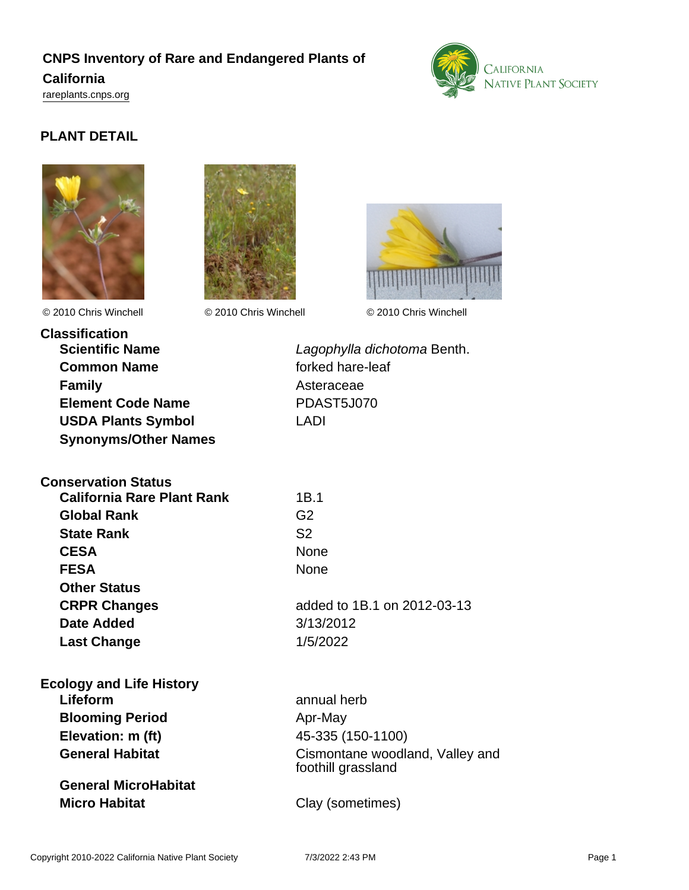## **CNPS Inventory of Rare and Endangered Plants of California**

<rareplants.cnps.org>



## **PLANT DETAIL**





© 2010 Chris Winchell © 2010 Chris Winchell © 2010 Chris Winchell



**Classification Common Name forked hare-leaf Family** Asteraceae **Element Code Name** PDAST5J070 **USDA Plants Symbol** LADI **Synonyms/Other Names**

**Conservation Status**

**Scientific Name** Lagophylla dichotoma Benth.

| <b>California Rare Plant Rank</b><br><b>Global Rank</b><br><b>State Rank</b><br><b>CESA</b><br><b>FESA</b><br><b>Other Status</b><br><b>CRPR Changes</b><br><b>Date Added</b> | 1B.1<br>G <sub>2</sub><br>S <sub>2</sub><br>None<br><b>None</b><br>added to 1B.1 on 2012-03-13<br>3/13/2012 |                                 |                                 |
|-------------------------------------------------------------------------------------------------------------------------------------------------------------------------------|-------------------------------------------------------------------------------------------------------------|---------------------------------|---------------------------------|
|                                                                                                                                                                               |                                                                                                             | <b>Last Change</b>              | 1/5/2022                        |
|                                                                                                                                                                               |                                                                                                             | <b>Ecology and Life History</b> |                                 |
|                                                                                                                                                                               |                                                                                                             | Lifeform                        | annual herb                     |
|                                                                                                                                                                               |                                                                                                             | <b>Blooming Period</b>          | Apr-May                         |
|                                                                                                                                                                               |                                                                                                             | Elevation: m (ft)               | 45-335 (150-1100)               |
|                                                                                                                                                                               |                                                                                                             | <b>General Habitat</b>          | Cismontane woodland, Valley and |

**General MicroHabitat Micro Habitat** Clay (sometimes)

foothill grassland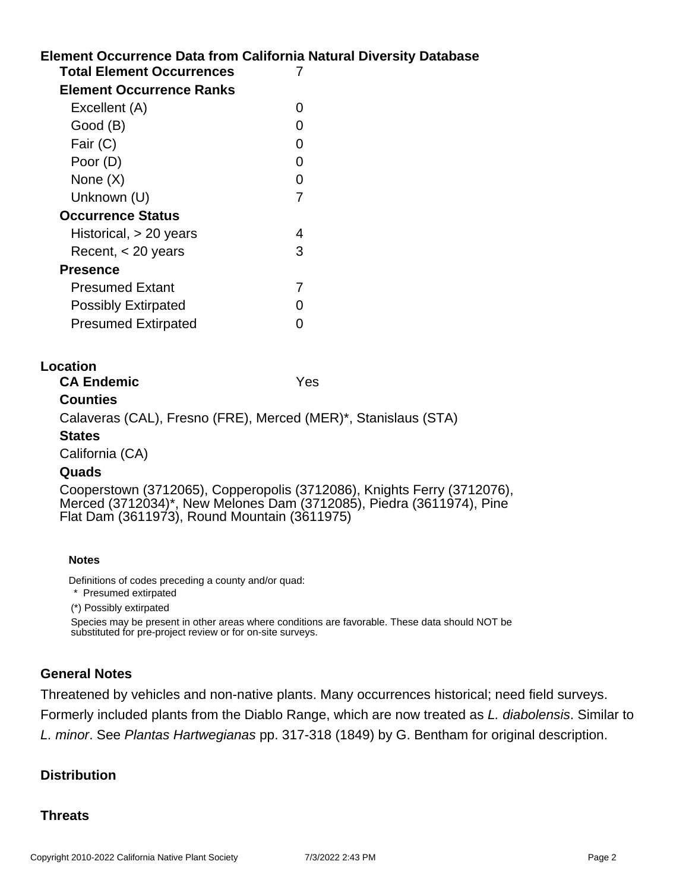# **Element Occurrence Data from California Natural Diversity Database Location Notes** Definitions of codes preceding a county and/or quad: **Total Element Occurrences** 7 **Element Occurrence Ranks** Excellent (A) 0 Good (B) and the contract of the contract of the contract of the contract of the contract of the contract of the contract of the contract of the contract of the contract of the contract of the contract of the contract of t Fair (C) 0 Poor (D) 0 None  $(X)$  0 Unknown (U) 7 **Occurrence Status** Historical, > 20 years 4 Recent, < 20 years 3 **Presence** Presumed Extant 7 Possibly Extirpated 0 Presumed Extirpated 0 **CA Endemic** Yes **Counties** Calaveras (CAL), Fresno (FRE), Merced (MER)\*, Stanislaus (STA) **States** California (CA) **Quads** Cooperstown (3712065), Copperopolis (3712086), Knights Ferry (3712076), Merced (3712034)\*, New Melones Dam (3712085), Piedra (3611974), Pine Flat Dam (3611973), Round Mountain (3611975) \* Presumed extirpated

(\*) Possibly extirpated

Species may be present in other areas where conditions are favorable. These data should NOT be substituted for pre-project review or for on-site surveys.

#### **General Notes**

Threatened by vehicles and non-native plants. Many occurrences historical; need field surveys. Formerly included plants from the Diablo Range, which are now treated as L. diabolensis. Similar to L. minor. See Plantas Hartwegianas pp. 317-318 (1849) by G. Bentham for original description.

#### **Distribution**

#### **Threats**